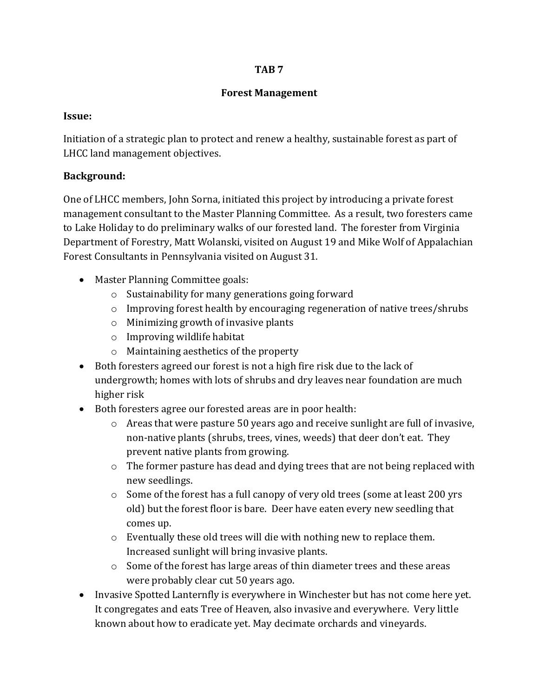#### **TAB 7**

## **Forest Management**

## **Issue:**

Initiation of a strategic plan to protect and renew a healthy, sustainable forest as part of LHCC land management objectives.

# **Background:**

One of LHCC members, John Sorna, initiated this project by introducing a private forest management consultant to the Master Planning Committee. As a result, two foresters came to Lake Holiday to do preliminary walks of our forested land. The forester from Virginia Department of Forestry, Matt Wolanski, visited on August 19 and Mike Wolf of Appalachian Forest Consultants in Pennsylvania visited on August 31.

- Master Planning Committee goals:
	- o Sustainability for many generations going forward
	- o Improving forest health by encouraging regeneration of native trees/shrubs
	- o Minimizing growth of invasive plants
	- o Improving wildlife habitat
	- o Maintaining aesthetics of the property
- Both foresters agreed our forest is not a high fire risk due to the lack of undergrowth; homes with lots of shrubs and dry leaves near foundation are much higher risk
- Both foresters agree our forested areas are in poor health:
	- $\circ$  Areas that were pasture 50 years ago and receive sunlight are full of invasive, non-native plants (shrubs, trees, vines, weeds) that deer don't eat. They prevent native plants from growing.
	- o The former pasture has dead and dying trees that are not being replaced with new seedlings.
	- $\circ$  Some of the forest has a full canopy of very old trees (some at least 200 yrs old) but the forest floor is bare. Deer have eaten every new seedling that comes up.
	- o Eventually these old trees will die with nothing new to replace them. Increased sunlight will bring invasive plants.
	- o Some of the forest has large areas of thin diameter trees and these areas were probably clear cut 50 years ago.
- Invasive Spotted Lanternfly is everywhere in Winchester but has not come here yet. It congregates and eats Tree of Heaven, also invasive and everywhere. Very little known about how to eradicate yet. May decimate orchards and vineyards.